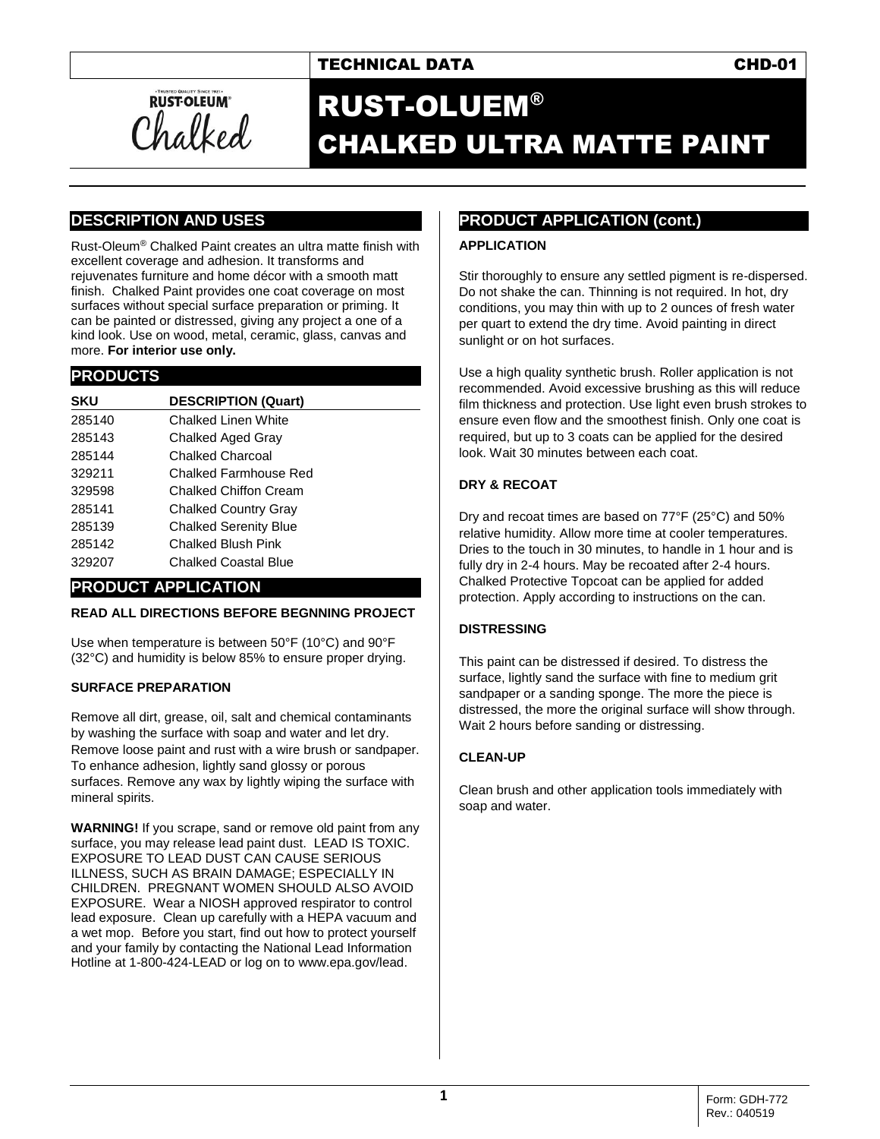## TECHNICAL DATA CHD-01



# RUST-OLUEM® CHALKED ULTRA MATTE PAINT

## **DESCRIPTION AND USES**

Rust-Oleum® Chalked Paint creates an ultra matte finish with excellent coverage and adhesion. It transforms and rejuvenates furniture and home décor with a smooth matt finish. Chalked Paint provides one coat coverage on most surfaces without special surface preparation or priming. It can be painted or distressed, giving any project a one of a kind look. Use on wood, metal, ceramic, glass, canvas and more. **For interior use only.**

#### **PRODUCTS**

| SKU    | <b>DESCRIPTION (Quart)</b>   |
|--------|------------------------------|
| 285140 | Chalked Linen White          |
| 285143 | Chalked Aged Gray            |
| 285144 | Chalked Charcoal             |
| 329211 | Chalked Farmhouse Red        |
| 329598 | Chalked Chiffon Cream        |
| 285141 | <b>Chalked Country Gray</b>  |
| 285139 | <b>Chalked Serenity Blue</b> |
| 285142 | Chalked Blush Pink           |
| 329207 | Chalked Coastal Blue         |

### **PRODUCT APPLICATION**

#### **READ ALL DIRECTIONS BEFORE BEGNNING PROJECT**

Use when temperature is between 50°F (10°C) and 90°F (32°C) and humidity is below 85% to ensure proper drying.

#### **SURFACE PREPARATION**

Remove all dirt, grease, oil, salt and chemical contaminants by washing the surface with soap and water and let dry. Remove loose paint and rust with a wire brush or sandpaper. To enhance adhesion, lightly sand glossy or porous surfaces. Remove any wax by lightly wiping the surface with mineral spirits.

**WARNING!** If you scrape, sand or remove old paint from any surface, you may release lead paint dust. LEAD IS TOXIC. EXPOSURE TO LEAD DUST CAN CAUSE SERIOUS ILLNESS, SUCH AS BRAIN DAMAGE; ESPECIALLY IN CHILDREN. PREGNANT WOMEN SHOULD ALSO AVOID EXPOSURE. Wear a NIOSH approved respirator to control lead exposure. Clean up carefully with a HEPA vacuum and a wet mop. Before you start, find out how to protect yourself and your family by contacting the National Lead Information Hotline at 1-800-424-LEAD or log on t[o www.epa.gov/lead.](http://www.epa.gov/lead)

## **PRODUCT APPLICATION (cont.)**

#### **APPLICATION**

Stir thoroughly to ensure any settled pigment is re-dispersed. Do not shake the can. Thinning is not required. In hot, dry conditions, you may thin with up to 2 ounces of fresh water per quart to extend the dry time. Avoid painting in direct sunlight or on hot surfaces.

Use a high quality synthetic brush. Roller application is not recommended. Avoid excessive brushing as this will reduce film thickness and protection. Use light even brush strokes to ensure even flow and the smoothest finish. Only one coat is required, but up to 3 coats can be applied for the desired look. Wait 30 minutes between each coat.

#### **DRY & RECOAT**

Dry and recoat times are based on 77°F (25°C) and 50% relative humidity. Allow more time at cooler temperatures. Dries to the touch in 30 minutes, to handle in 1 hour and is fully dry in 2-4 hours. May be recoated after 2-4 hours. Chalked Protective Topcoat can be applied for added protection. Apply according to instructions on the can.

#### **DISTRESSING**

This paint can be distressed if desired. To distress the surface, lightly sand the surface with fine to medium grit sandpaper or a sanding sponge. The more the piece is distressed, the more the original surface will show through. Wait 2 hours before sanding or distressing.

#### **CLEAN-UP**

Clean brush and other application tools immediately with soap and water.